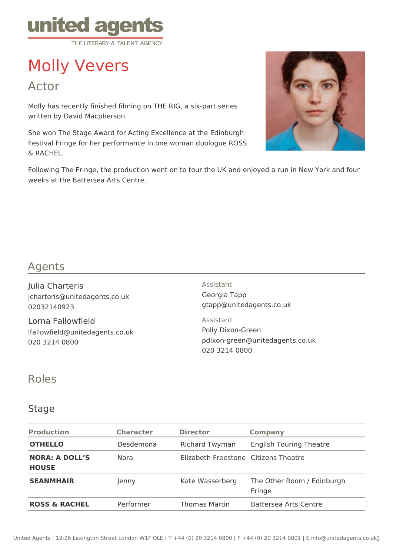

# Molly Vevers

Actor

Molly has recently finished filming on THE RIG, a six-part series written by David Macpherson.

She won The Stage Award for Acting Excellence at the Edinburgh Festival Fringe for her performance in one woman duologue ROSS & RACHEL.



Following The Fringe, the production went on to tour the UK and enjoyed a run in New York and four weeks at the Battersea Arts Centre.

# Agents

Julia Charteris jcharteris@unitedagents.co.uk 02032140923

Lorna Fallowfield lfallowfield@unitedagents.co.uk 020 3214 0800

Assistant Georgia Tapp gtapp@unitedagents.co.uk

Assistant Polly Dixon-Green pdixon-green@unitedagents.co.uk 020 3214 0800

# Roles

#### **Stage**

| <b>Production</b>                     | <b>Character</b> | <b>Director</b>                      | <b>Company</b>                       |
|---------------------------------------|------------------|--------------------------------------|--------------------------------------|
| <b>OTHELLO</b>                        | Desdemona        | <b>Richard Twyman</b>                | <b>English Touring Theatre</b>       |
| <b>NORA: A DOLL'S</b><br><b>HOUSE</b> | Nora             | Elizabeth Freestone Citizens Theatre |                                      |
| <b>SEANMHAIR</b>                      | lenny            | Kate Wasserberg                      | The Other Room / Edinburgh<br>Fringe |
| <b>ROSS &amp; RACHEL</b>              | Performer        | Thomas Martin                        | Battersea Arts Centre                |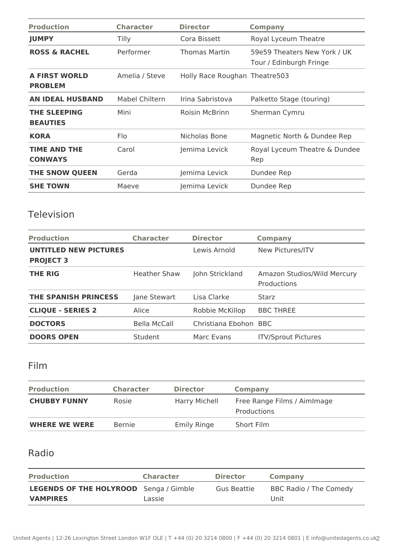| <b>Production</b>                      | <b>Character</b> | <b>Director</b>               | <b>Company</b>                                          |
|----------------------------------------|------------------|-------------------------------|---------------------------------------------------------|
| <b>JUMPY</b>                           | Tilly            | Cora Bissett                  | Royal Lyceum Theatre                                    |
| <b>ROSS &amp; RACHEL</b>               | Performer        | Thomas Martin                 | 59e59 Theaters New York / UK<br>Tour / Edinburgh Fringe |
| <b>A FIRST WORLD</b><br><b>PROBLEM</b> | Amelia / Steve   | Holly Race Roughan Theatre503 |                                                         |
| <b>AN IDEAL HUSBAND</b>                | Mabel Chiltern   | Irina Sabristova              | Palketto Stage (touring)                                |
| <b>THE SLEEPING</b><br><b>BEAUTIES</b> | Mini             | <b>Roisin McBrinn</b>         | Sherman Cymru                                           |
| <b>KORA</b>                            | Flo              | Nicholas Bone                 | Magnetic North & Dundee Rep                             |
| <b>TIME AND THE</b><br><b>CONWAYS</b>  | Carol            | Jemima Levick                 | Royal Lyceum Theatre & Dundee<br>Rep                    |
| THE SNOW QUEEN                         | Gerda            | Jemima Levick                 | Dundee Rep                                              |
| <b>SHE TOWN</b>                        | Maeve            | Jemima Levick                 | Dundee Rep                                              |

### Television

| <b>Production</b>                                | <b>Character</b>    | <b>Director</b>       | <b>Company</b>                             |
|--------------------------------------------------|---------------------|-----------------------|--------------------------------------------|
| <b>UNTITLED NEW PICTURES</b><br><b>PROJECT 3</b> |                     | Lewis Arnold          | New Pictures/ITV                           |
| <b>THE RIG</b>                                   | <b>Heather Shaw</b> | John Strickland       | Amazon Studios/Wild Mercury<br>Productions |
| <b>THE SPANISH PRINCESS</b>                      | Jane Stewart        | Lisa Clarke           | Starz                                      |
| <b>CLIQUE - SERIES 2</b>                         | Alice               | Robbie McKillop       | <b>BBC THREE</b>                           |
| <b>DOCTORS</b>                                   | Bella McCall        | Christiana Ebohon BBC |                                            |
| <b>DOORS OPEN</b>                                | Student             | Marc Evans            | <b>ITV/Sprout Pictures</b>                 |

## Film

| <b>Production</b>    | <b>Character</b> | <b>Director</b>      | <b>Company</b>                             |
|----------------------|------------------|----------------------|--------------------------------------------|
| <b>CHUBBY FUNNY</b>  | Rosie            | <b>Harry Michell</b> | Free Range Films / Aimlmage<br>Productions |
| <b>WHERE WE WERE</b> | <b>Bernie</b>    | <b>Emily Ringe</b>   | Short Film                                 |

# Radio

| <b>Production</b>                             | <b>Character</b> | <b>Director</b> | <b>Company</b>         |
|-----------------------------------------------|------------------|-----------------|------------------------|
| <b>LEGENDS OF THE HOLYROOD</b> Senga / Gimble |                  | Gus Beattie     | BBC Radio / The Comedy |
| <b>VAMPIRES</b>                               | Lassie           |                 | Unit                   |